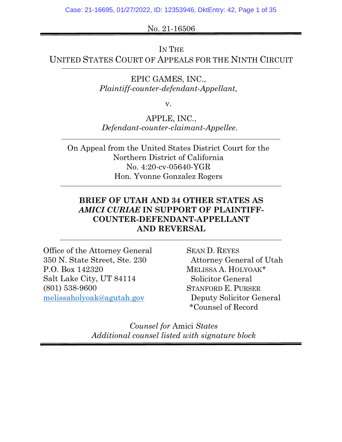No. 21-16506

IN THE

UNITED STATES COURT OF APPEALS FOR THE NINTH CIRCUIT

EPIC GAMES, INC., *Plaintiff-counter-defendant-Appellant*,

v.

APPLE, INC*.*, *Defendant-counter-claimant-Appellee*.

On Appeal from the United States District Court for the Northern District of California No. 4:20-cv-05640-YGR Hon. Yvonne Gonzalez Rogers

## **BRIEF OF UTAH AND 34 OTHER STATES AS**  *AMICI CURIAE* **IN SUPPORT OF PLAINTIFF-COUNTER-DEFENDANT-APPELLANT AND REVERSAL**

Office of the Attorney General 350 N. State Street, Ste. 230 P.O. Box 142320 Salt Lake City, UT 84114 (801) 538-9600 [melissaholyoak@agutah.gov](mailto:melissaholyoak@agutah.gov)

SEAN D. REYES Attorney General of Utah MELISSA A. HOLYOAK\* Solicitor General STANFORD E. PURSER Deputy Solicitor General \*Counsel of Record

*Counsel for* Amici *States Additional counsel listed with signature block*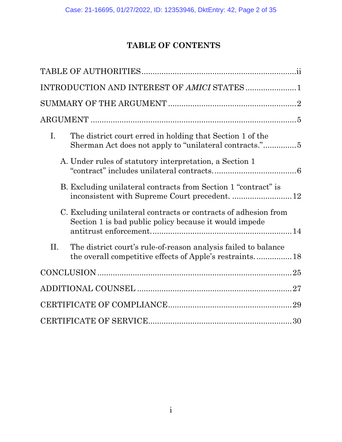## **TABLE OF CONTENTS**

|                | INTRODUCTION AND INTEREST OF AMICI STATES1                                                                                |
|----------------|---------------------------------------------------------------------------------------------------------------------------|
|                |                                                                                                                           |
|                |                                                                                                                           |
| $\mathbf{I}$ . | The district court erred in holding that Section 1 of the<br>Sherman Act does not apply to "unilateral contracts."5       |
|                | A. Under rules of statutory interpretation, a Section 1                                                                   |
|                | B. Excluding unilateral contracts from Section 1 "contract" is                                                            |
|                | C. Excluding unilateral contracts or contracts of adhesion from<br>Section 1 is bad public policy because it would impede |
| II.            | The district court's rule-of-reason analysis failed to balance                                                            |
|                |                                                                                                                           |
|                |                                                                                                                           |
|                |                                                                                                                           |
|                |                                                                                                                           |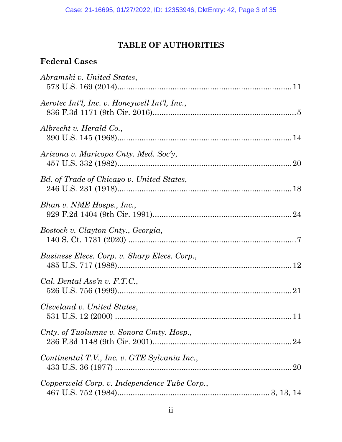# **TABLE OF AUTHORITIES**

## **Federal Cases**

| Abramski v. United States,                    |
|-----------------------------------------------|
| Aerotec Int'l, Inc. v. Honeywell Int'l, Inc., |
| Albrecht v. Herald Co.,                       |
| Arizona v. Maricopa Cnty. Med. Soc'y,         |
| Bd. of Trade of Chicago v. United States,     |
| Bhan v. NME Hosps., Inc.,                     |
| Bostock v. Clayton Cnty., Georgia,            |
| Business Elecs. Corp. v. Sharp Elecs. Corp.,  |
| Cal. Dental Ass'n v. F.T.C.,                  |
| Cleveland v. United States,                   |
| Cnty. of Tuolumne v. Sonora Cmty. Hosp.,      |
| Continental T.V., Inc. v. GTE Sylvania Inc.,  |
| Copperweld Corp. v. Independence Tube Corp.,  |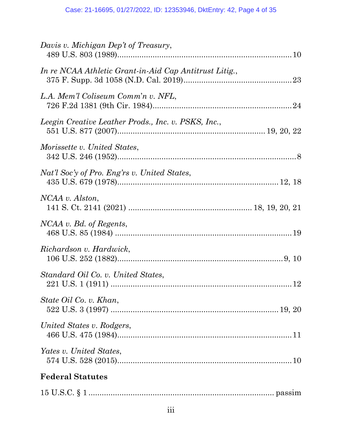| Davis v. Michigan Dep't of Treasury,                   |  |
|--------------------------------------------------------|--|
| In re NCAA Athletic Grant-in-Aid Cap Antitrust Litig., |  |
| L.A. Mem'l Coliseum Comm'n v. NFL,                     |  |
| Leegin Creative Leather Prods., Inc. v. PSKS, Inc.,    |  |
| Morissette v. United States,                           |  |
| Nat'l Soc'y of Pro. Eng'rs v. United States,           |  |
| NCAA v. Alston,                                        |  |
| NCAA v. Bd. of Regents,                                |  |
| Richardson v. Hardwick,                                |  |
| Standard Oil Co. v. United States,                     |  |
| State Oil Co. v. Khan,                                 |  |
| United States v. Rodgers,                              |  |
| Yates v. United States,                                |  |
| <b>Federal Statutes</b>                                |  |
|                                                        |  |
|                                                        |  |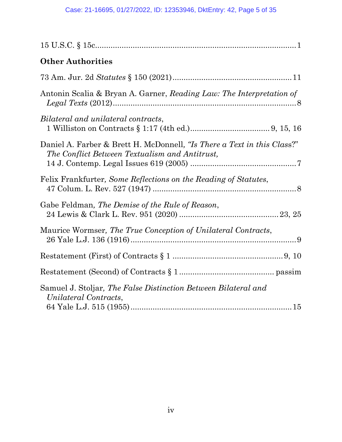| <b>Other Authorities</b>                                                                                                  |
|---------------------------------------------------------------------------------------------------------------------------|
|                                                                                                                           |
| Antonin Scalia & Bryan A. Garner, Reading Law: The Interpretation of                                                      |
| Bilateral and unilateral contracts,                                                                                       |
| Daniel A. Farber & Brett H. McDonnell, "Is There a Text in this Class?"<br>The Conflict Between Textualism and Antitrust, |
| Felix Frankfurter, Some Reflections on the Reading of Statutes,                                                           |
| Gabe Feldman, The Demise of the Rule of Reason,                                                                           |
| Maurice Wormser, The True Conception of Unilateral Contracts,                                                             |
|                                                                                                                           |
|                                                                                                                           |
| Samuel J. Stoljar, The False Distinction Between Bilateral and<br>Unilateral Contracts,                                   |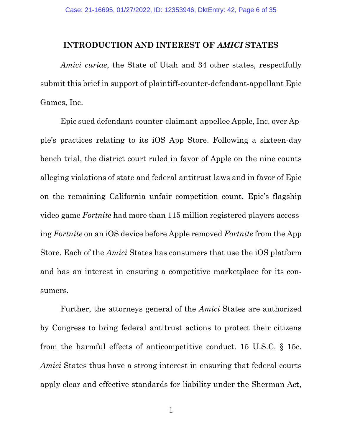#### **INTRODUCTION AND INTEREST OF** *AMICI* **STATES**

*Amici curiae*, the State of Utah and 34 other states, respectfully submit this brief in support of plaintiff-counter-defendant-appellant Epic Games, Inc.

Epic sued defendant-counter-claimant-appellee Apple, Inc. over Apple's practices relating to its iOS App Store. Following a sixteen-day bench trial, the district court ruled in favor of Apple on the nine counts alleging violations of state and federal antitrust laws and in favor of Epic on the remaining California unfair competition count. Epic's flagship video game *Fortnite* had more than 115 million registered players accessing *Fortnite* on an iOS device before Apple removed *Fortnite* from the App Store. Each of the *Amici* States has consumers that use the iOS platform and has an interest in ensuring a competitive marketplace for its consumers.

Further, the attorneys general of the *Amici* States are authorized by Congress to bring federal antitrust actions to protect their citizens from the harmful effects of anticompetitive conduct. 15 U.S.C. § 15c. *Amici* States thus have a strong interest in ensuring that federal courts apply clear and effective standards for liability under the Sherman Act,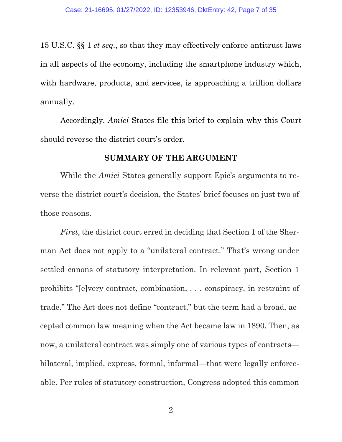15 U.S.C. §§ 1 *et seq.*, so that they may effectively enforce antitrust laws in all aspects of the economy, including the smartphone industry which, with hardware, products, and services, is approaching a trillion dollars annually.

Accordingly, *Amici* States file this brief to explain why this Court should reverse the district court's order.

#### **SUMMARY OF THE ARGUMENT**

While the *Amici* States generally support Epic's arguments to reverse the district court's decision, the States' brief focuses on just two of those reasons.

*First*, the district court erred in deciding that Section 1 of the Sherman Act does not apply to a "unilateral contract." That's wrong under settled canons of statutory interpretation. In relevant part, Section 1 prohibits "[e]very contract, combination, . . . conspiracy, in restraint of trade." The Act does not define "contract," but the term had a broad, accepted common law meaning when the Act became law in 1890. Then, as now, a unilateral contract was simply one of various types of contracts bilateral, implied, express, formal, informal—that were legally enforceable. Per rules of statutory construction, Congress adopted this common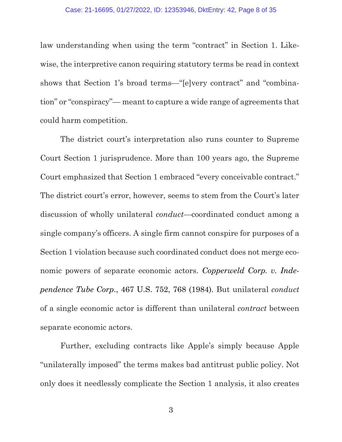law understanding when using the term "contract" in Section 1. Likewise, the interpretive canon requiring statutory terms be read in context shows that Section 1's broad terms—"[e]very contract" and "combination" or "conspiracy"— meant to capture a wide range of agreements that could harm competition.

The district court's interpretation also runs counter to Supreme Court Section 1 jurisprudence. More than 100 years ago, the Supreme Court emphasized that Section 1 embraced "every conceivable contract." The district court's error, however, seems to stem from the Court's later discussion of wholly unilateral *conduct*—coordinated conduct among a single company's officers. A single firm cannot conspire for purposes of a Section 1 violation because such coordinated conduct does not merge economic powers of separate economic actors. *Copperweld Corp. v. Independence Tube Corp*., 467 U.S. 752, 768 (1984). But unilateral *conduct* of a single economic actor is different than unilateral *contract* between separate economic actors.

Further, excluding contracts like Apple's simply because Apple "unilaterally imposed" the terms makes bad antitrust public policy. Not only does it needlessly complicate the Section 1 analysis, it also creates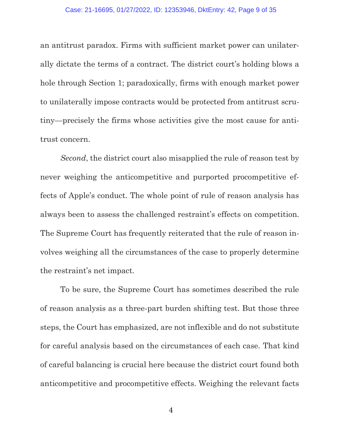an antitrust paradox. Firms with sufficient market power can unilaterally dictate the terms of a contract. The district court's holding blows a hole through Section 1; paradoxically, firms with enough market power to unilaterally impose contracts would be protected from antitrust scrutiny—precisely the firms whose activities give the most cause for antitrust concern.

*Second*, the district court also misapplied the rule of reason test by never weighing the anticompetitive and purported procompetitive effects of Apple's conduct. The whole point of rule of reason analysis has always been to assess the challenged restraint's effects on competition. The Supreme Court has frequently reiterated that the rule of reason involves weighing all the circumstances of the case to properly determine the restraint's net impact.

To be sure, the Supreme Court has sometimes described the rule of reason analysis as a three-part burden shifting test. But those three steps, the Court has emphasized, are not inflexible and do not substitute for careful analysis based on the circumstances of each case. That kind of careful balancing is crucial here because the district court found both anticompetitive and procompetitive effects. Weighing the relevant facts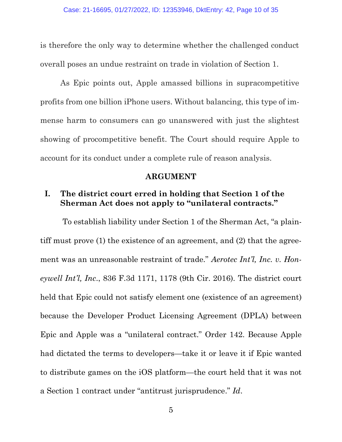is therefore the only way to determine whether the challenged conduct overall poses an undue restraint on trade in violation of Section 1.

As Epic points out, Apple amassed billions in supracompetitive profits from one billion iPhone users. Without balancing, this type of immense harm to consumers can go unanswered with just the slightest showing of procompetitive benefit. The Court should require Apple to account for its conduct under a complete rule of reason analysis.

#### **ARGUMENT**

#### **I. The district court erred in holding that Section 1 of the Sherman Act does not apply to "unilateral contracts."**

To establish liability under Section 1 of the Sherman Act, "a plaintiff must prove (1) the existence of an agreement, and (2) that the agreement was an unreasonable restraint of trade." *Aerotec Int'l, Inc. v. Honeywell Int'l, Inc*., 836 F.3d 1171, 1178 (9th Cir. 2016). The district court held that Epic could not satisfy element one (existence of an agreement) because the Developer Product Licensing Agreement (DPLA) between Epic and Apple was a "unilateral contract." Order 142. Because Apple had dictated the terms to developers—take it or leave it if Epic wanted to distribute games on the iOS platform—the court held that it was not a Section 1 contract under "antitrust jurisprudence." *Id*.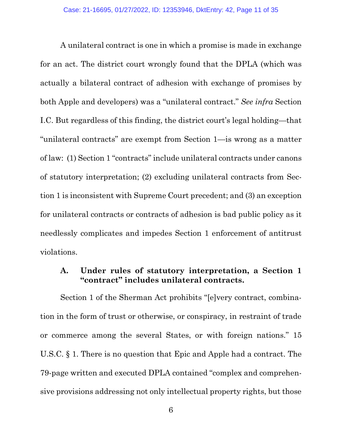A unilateral contract is one in which a promise is made in exchange for an act. The district court wrongly found that the DPLA (which was actually a bilateral contract of adhesion with exchange of promises by both Apple and developers) was a "unilateral contract." *See infra* Section I.C. But regardless of this finding, the district court's legal holding—that "unilateral contracts" are exempt from Section 1—is wrong as a matter of law: (1) Section 1 "contracts" include unilateral contracts under canons of statutory interpretation; (2) excluding unilateral contracts from Section 1 is inconsistent with Supreme Court precedent; and (3) an exception for unilateral contracts or contracts of adhesion is bad public policy as it needlessly complicates and impedes Section 1 enforcement of antitrust violations.

#### **A. Under rules of statutory interpretation, a Section 1 "contract" includes unilateral contracts.**

Section 1 of the Sherman Act prohibits "[e]very contract, combination in the form of trust or otherwise, or conspiracy, in restraint of trade or commerce among the several States, or with foreign nations." 15 U.S.C. § 1. There is no question that Epic and Apple had a contract. The 79-page written and executed DPLA contained "complex and comprehensive provisions addressing not only intellectual property rights, but those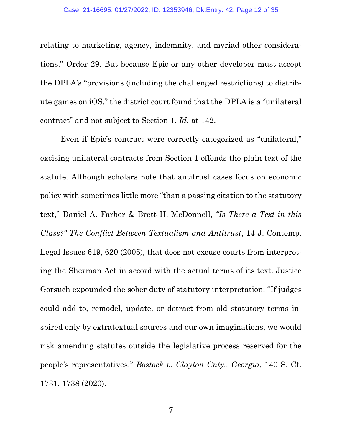relating to marketing, agency, indemnity, and myriad other considerations." Order 29. But because Epic or any other developer must accept the DPLA's "provisions (including the challenged restrictions) to distribute games on iOS," the district court found that the DPLA is a "unilateral contract" and not subject to Section 1. *Id.* at 142.

Even if Epic's contract were correctly categorized as "unilateral," excising unilateral contracts from Section 1 offends the plain text of the statute. Although scholars note that antitrust cases focus on economic policy with sometimes little more "than a passing citation to the statutory text," Daniel A. Farber & Brett H. McDonnell, *"Is There a Text in this Class?" The Conflict Between Textualism and Antitrust*, 14 J. Contemp. Legal Issues 619, 620 (2005), that does not excuse courts from interpreting the Sherman Act in accord with the actual terms of its text. Justice Gorsuch expounded the sober duty of statutory interpretation: "If judges could add to, remodel, update, or detract from old statutory terms inspired only by extratextual sources and our own imaginations, we would risk amending statutes outside the legislative process reserved for the people's representatives." *Bostock v. Clayton Cnty., Georgia*, 140 S. Ct. 1731, 1738 (2020).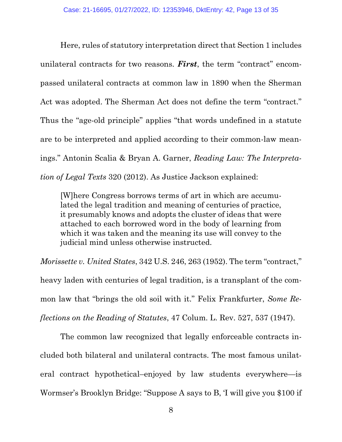Here, rules of statutory interpretation direct that Section 1 includes unilateral contracts for two reasons. *First*, the term "contract" encompassed unilateral contracts at common law in 1890 when the Sherman Act was adopted. The Sherman Act does not define the term "contract." Thus the "age-old principle" applies "that words undefined in a statute are to be interpreted and applied according to their common-law meanings." Antonin Scalia & Bryan A. Garner, *Reading Law: The Interpretation of Legal Texts* 320 (2012). As Justice Jackson explained:

[W]here Congress borrows terms of art in which are accumulated the legal tradition and meaning of centuries of practice, it presumably knows and adopts the cluster of ideas that were attached to each borrowed word in the body of learning from which it was taken and the meaning its use will convey to the judicial mind unless otherwise instructed.

*Morissette v. United States*, 342 U.S. 246, 263 (1952). The term "contract," heavy laden with centuries of legal tradition, is a transplant of the common law that "brings the old soil with it." Felix Frankfurter, *Some Reflections on the Reading of Statutes*, 47 Colum. L. Rev. 527, 537 (1947).

The common law recognized that legally enforceable contracts included both bilateral and unilateral contracts. The most famous unilateral contract hypothetical–enjoyed by law students everywhere—is Wormser's Brooklyn Bridge: "Suppose A says to B, 'I will give you \$100 if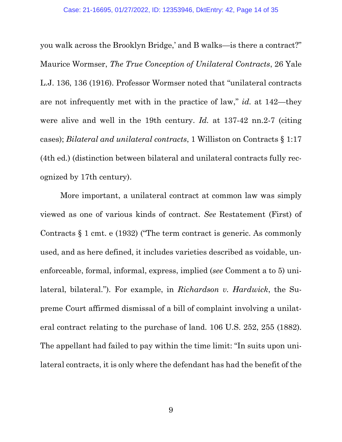you walk across the Brooklyn Bridge,' and B walks—is there a contract?" Maurice Wormser, *The True Conception of Unilateral Contracts*, 26 Yale L.J. 136, 136 (1916). Professor Wormser noted that "unilateral contracts are not infrequently met with in the practice of law," *id.* at 142—they were alive and well in the 19th century. *Id.* at 137-42 nn.2-7 (citing cases); *Bilateral and unilateral contracts*, 1 Williston on Contracts § 1:17 (4th ed.) (distinction between bilateral and unilateral contracts fully recognized by 17th century).

More important, a unilateral contract at common law was simply viewed as one of various kinds of contract. *See* Restatement (First) of Contracts § 1 cmt. e (1932) ("The term contract is generic. As commonly used, and as here defined, it includes varieties described as voidable, unenforceable, formal, informal, express, implied (*see* Comment a to 5) unilateral, bilateral."). For example, in *Richardson v. Hardwick*, the Supreme Court affirmed dismissal of a bill of complaint involving a unilateral contract relating to the purchase of land. 106 U.S. 252, 255 (1882). The appellant had failed to pay within the time limit: "In suits upon unilateral contracts, it is only where the defendant has had the benefit of the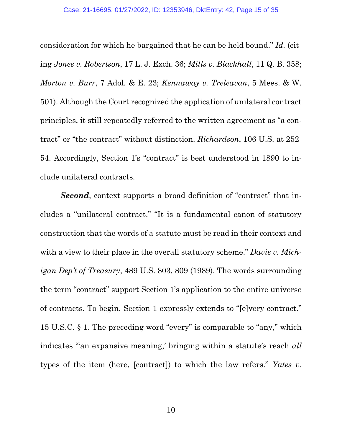consideration for which he bargained that he can be held bound." *Id.* (citing *Jones v. Robertson*, 17 L. J. Exch. 36; *Mills v. Blackhall*, 11 Q. B. 358; *Morton v. Burr*, 7 Adol. & E. 23; *Kennaway v. Treleavan*, 5 Mees. & W. 501). Although the Court recognized the application of unilateral contract principles, it still repeatedly referred to the written agreement as "a contract" or "the contract" without distinction. *Richardson*, 106 U.S. at 252- 54. Accordingly, Section 1's "contract" is best understood in 1890 to include unilateral contracts.

**Second**, context supports a broad definition of "contract" that includes a "unilateral contract." "It is a fundamental canon of statutory construction that the words of a statute must be read in their context and with a view to their place in the overall statutory scheme." *Davis v. Michigan Dep't of Treasury*, 489 U.S. 803, 809 (1989). The words surrounding the term "contract" support Section 1's application to the entire universe of contracts. To begin, Section 1 expressly extends to "[e]very contract." 15 U.S.C. § 1. The preceding word "every" is comparable to "any," which indicates "an expansive meaning,' bringing within a statute's reach *all* types of the item (here, [contract]) to which the law refers." *Yates v.*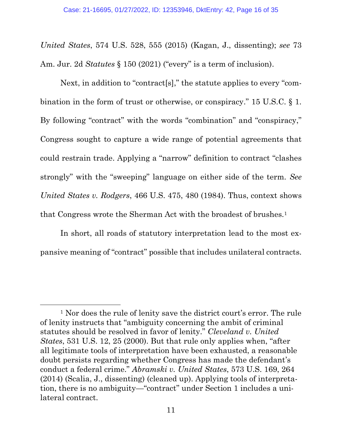*United States*, 574 U.S. 528, 555 (2015) (Kagan, J., dissenting); *see* 73 Am. Jur. 2d *Statutes* § 150 (2021) ("every" is a term of inclusion).

Next, in addition to "contract[s]," the statute applies to every "combination in the form of trust or otherwise, or conspiracy." 15 U.S.C. § 1. By following "contract" with the words "combination" and "conspiracy," Congress sought to capture a wide range of potential agreements that could restrain trade. Applying a "narrow" definition to contract "clashes strongly" with the "sweeping" language on either side of the term. *See United States v. Rodgers*, 466 U.S. 475, 480 (1984). Thus, context shows that Congress wrote the Sherman Act with the broadest of brushes.<sup>1</sup>

In short, all roads of statutory interpretation lead to the most expansive meaning of "contract" possible that includes unilateral contracts.

<sup>1</sup> Nor does the rule of lenity save the district court's error. The rule of lenity instructs that "ambiguity concerning the ambit of criminal statutes should be resolved in favor of lenity." *Cleveland v. United States*, 531 U.S. 12, 25 (2000). But that rule only applies when, "after all legitimate tools of interpretation have been exhausted, a reasonable doubt persists regarding whether Congress has made the defendant's conduct a federal crime." *Abramski v. United States*, 573 U.S. 169, 264 (2014) (Scalia, J., dissenting) (cleaned up). Applying tools of interpretation, there is no ambiguity—"contract" under Section 1 includes a unilateral contract.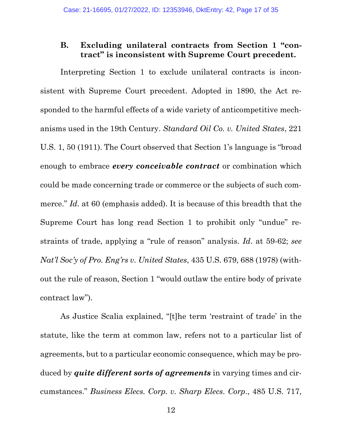#### **B. Excluding unilateral contracts from Section 1 "contract" is inconsistent with Supreme Court precedent.**

Interpreting Section 1 to exclude unilateral contracts is inconsistent with Supreme Court precedent. Adopted in 1890, the Act responded to the harmful effects of a wide variety of anticompetitive mechanisms used in the 19th Century. *Standard Oil Co. v. United States*, 221 U.S. 1, 50 (1911). The Court observed that Section 1's language is "broad enough to embrace *every conceivable contract* or combination which could be made concerning trade or commerce or the subjects of such commerce." *Id.* at 60 (emphasis added). It is because of this breadth that the Supreme Court has long read Section 1 to prohibit only "undue" restraints of trade, applying a "rule of reason" analysis. *Id*. at 59-62; *see Nat'l Soc'y of Pro. Eng'rs v. United States*, 435 U.S. 679, 688 (1978) (without the rule of reason, Section 1 "would outlaw the entire body of private contract law").

As Justice Scalia explained, "[t]he term 'restraint of trade' in the statute, like the term at common law, refers not to a particular list of agreements, but to a particular economic consequence, which may be produced by *quite different sorts of agreements* in varying times and circumstances." *Business Elecs. Corp. v. Sharp Elecs. Corp*., 485 U.S. 717,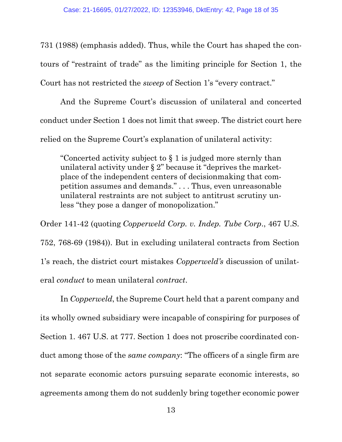731 (1988) (emphasis added). Thus, while the Court has shaped the contours of "restraint of trade" as the limiting principle for Section 1, the Court has not restricted the *sweep* of Section 1's "every contract."

And the Supreme Court's discussion of unilateral and concerted conduct under Section 1 does not limit that sweep. The district court here relied on the Supreme Court's explanation of unilateral activity:

"Concerted activity subject to § 1 is judged more sternly than unilateral activity under § 2" because it "deprives the marketplace of the independent centers of decisionmaking that competition assumes and demands." . . . Thus, even unreasonable unilateral restraints are not subject to antitrust scrutiny unless "they pose a danger of monopolization."

Order 141-42 (quoting *Copperweld Corp. v. Indep. Tube Corp*., 467 U.S. 752, 768-69 (1984)). But in excluding unilateral contracts from Section 1's reach, the district court mistakes *Copperweld's* discussion of unilateral *conduct* to mean unilateral *contract*.

In *Copperweld*, the Supreme Court held that a parent company and its wholly owned subsidiary were incapable of conspiring for purposes of Section 1. 467 U.S. at 777. Section 1 does not proscribe coordinated conduct among those of the *same company*: "The officers of a single firm are not separate economic actors pursuing separate economic interests, so agreements among them do not suddenly bring together economic power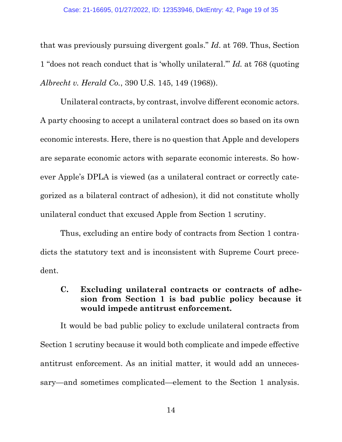that was previously pursuing divergent goals." *Id*. at 769. Thus, Section 1 "does not reach conduct that is 'wholly unilateral.'" *Id.* at 768 (quoting *Albrecht v. Herald Co.*, 390 U.S. 145, 149 (1968)).

Unilateral contracts, by contrast, involve different economic actors. A party choosing to accept a unilateral contract does so based on its own economic interests. Here, there is no question that Apple and developers are separate economic actors with separate economic interests. So however Apple's DPLA is viewed (as a unilateral contract or correctly categorized as a bilateral contract of adhesion), it did not constitute wholly unilateral conduct that excused Apple from Section 1 scrutiny.

Thus, excluding an entire body of contracts from Section 1 contradicts the statutory text and is inconsistent with Supreme Court precedent.

#### **C. Excluding unilateral contracts or contracts of adhesion from Section 1 is bad public policy because it would impede antitrust enforcement.**

It would be bad public policy to exclude unilateral contracts from Section 1 scrutiny because it would both complicate and impede effective antitrust enforcement. As an initial matter, it would add an unnecessary—and sometimes complicated—element to the Section 1 analysis.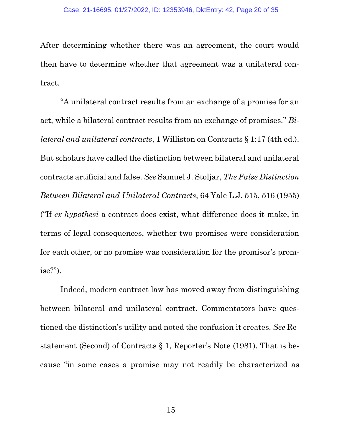After determining whether there was an agreement, the court would then have to determine whether that agreement was a unilateral contract.

"A unilateral contract results from an exchange of a promise for an act, while a bilateral contract results from an exchange of promises." *Bilateral and unilateral contracts*, 1 Williston on Contracts § 1:17 (4th ed.). But scholars have called the distinction between bilateral and unilateral contracts artificial and false. *See* Samuel J. Stoljar, *The False Distinction Between Bilateral and Unilateral Contracts*, 64 Yale L.J. 515, 516 (1955) ("If *ex hypothesi* a contract does exist, what difference does it make, in terms of legal consequences, whether two promises were consideration for each other, or no promise was consideration for the promisor's promise?").

Indeed, modern contract law has moved away from distinguishing between bilateral and unilateral contract. Commentators have questioned the distinction's utility and noted the confusion it creates. *See* Restatement (Second) of Contracts § 1, Reporter's Note (1981). That is because "in some cases a promise may not readily be characterized as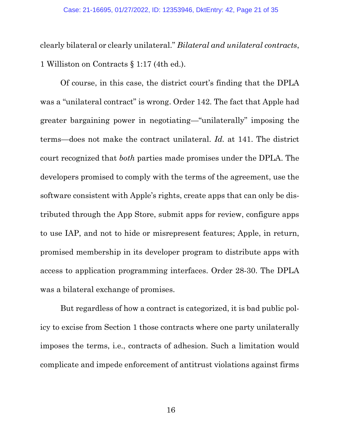clearly bilateral or clearly unilateral." *Bilateral and unilateral contracts*, 1 Williston on Contracts § 1:17 (4th ed.).

Of course, in this case, the district court's finding that the DPLA was a "unilateral contract" is wrong. Order 142. The fact that Apple had greater bargaining power in negotiating—"unilaterally" imposing the terms—does not make the contract unilateral. *Id.* at 141. The district court recognized that *both* parties made promises under the DPLA. The developers promised to comply with the terms of the agreement, use the software consistent with Apple's rights, create apps that can only be distributed through the App Store, submit apps for review, configure apps to use IAP, and not to hide or misrepresent features; Apple, in return, promised membership in its developer program to distribute apps with access to application programming interfaces. Order 28-30. The DPLA was a bilateral exchange of promises.

But regardless of how a contract is categorized, it is bad public policy to excise from Section 1 those contracts where one party unilaterally imposes the terms, i.e., contracts of adhesion. Such a limitation would complicate and impede enforcement of antitrust violations against firms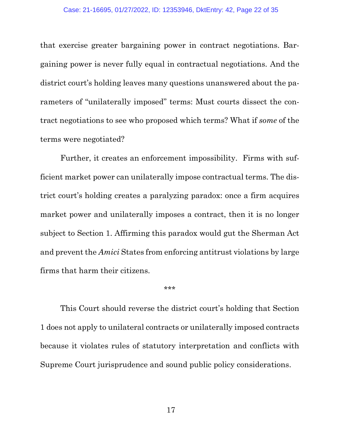that exercise greater bargaining power in contract negotiations. Bargaining power is never fully equal in contractual negotiations. And the district court's holding leaves many questions unanswered about the parameters of "unilaterally imposed" terms: Must courts dissect the contract negotiations to see who proposed which terms? What if *some* of the terms were negotiated?

Further, it creates an enforcement impossibility. Firms with sufficient market power can unilaterally impose contractual terms. The district court's holding creates a paralyzing paradox: once a firm acquires market power and unilaterally imposes a contract, then it is no longer subject to Section 1. Affirming this paradox would gut the Sherman Act and prevent the *Amici* States from enforcing antitrust violations by large firms that harm their citizens.

#### \*\*\*

This Court should reverse the district court's holding that Section 1 does not apply to unilateral contracts or unilaterally imposed contracts because it violates rules of statutory interpretation and conflicts with Supreme Court jurisprudence and sound public policy considerations.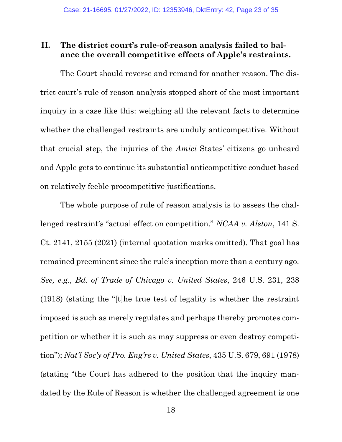## **II. The district court's rule-of-reason analysis failed to balance the overall competitive effects of Apple's restraints.**

The Court should reverse and remand for another reason. The district court's rule of reason analysis stopped short of the most important inquiry in a case like this: weighing all the relevant facts to determine whether the challenged restraints are unduly anticompetitive. Without that crucial step, the injuries of the *Amici* States' citizens go unheard and Apple gets to continue its substantial anticompetitive conduct based on relatively feeble procompetitive justifications.

The whole purpose of rule of reason analysis is to assess the challenged restraint's "actual effect on competition." *NCAA v. Alston*, 141 S. Ct. 2141, 2155 (2021) (internal quotation marks omitted). That goal has remained preeminent since the rule's inception more than a century ago. *See, e.g., Bd. of Trade of Chicago v. United States*, 246 U.S. 231, 238 (1918) (stating the "[t]he true test of legality is whether the restraint imposed is such as merely regulates and perhaps thereby promotes competition or whether it is such as may suppress or even destroy competition"); *Nat'l Soc'y of Pro. Eng'rs v. United States*, 435 U.S. 679, 691 (1978) (stating "the Court has adhered to the position that the inquiry mandated by the Rule of Reason is whether the challenged agreement is one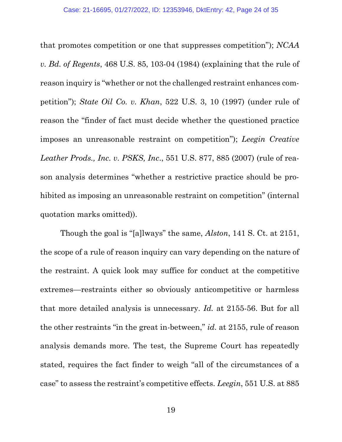that promotes competition or one that suppresses competition"); *NCAA v. Bd. of Regents*, 468 U.S. 85, 103-04 (1984) (explaining that the rule of reason inquiry is "whether or not the challenged restraint enhances competition"); *State Oil Co. v. Khan*, 522 U.S. 3, 10 (1997) (under rule of reason the "finder of fact must decide whether the questioned practice imposes an unreasonable restraint on competition"); *Leegin Creative Leather Prods., Inc. v. PSKS, Inc*., 551 U.S. 877, 885 (2007) (rule of reason analysis determines "whether a restrictive practice should be prohibited as imposing an unreasonable restraint on competition" (internal quotation marks omitted)).

Though the goal is "[a]lways" the same, *Alston*, 141 S. Ct. at 2151, the scope of a rule of reason inquiry can vary depending on the nature of the restraint. A quick look may suffice for conduct at the competitive extremes—restraints either so obviously anticompetitive or harmless that more detailed analysis is unnecessary. *Id.* at 2155-56. But for all the other restraints "in the great in-between," *id.* at 2155, rule of reason analysis demands more. The test, the Supreme Court has repeatedly stated, requires the fact finder to weigh "all of the circumstances of a case" to assess the restraint's competitive effects. *Leegin*, 551 U.S. at 885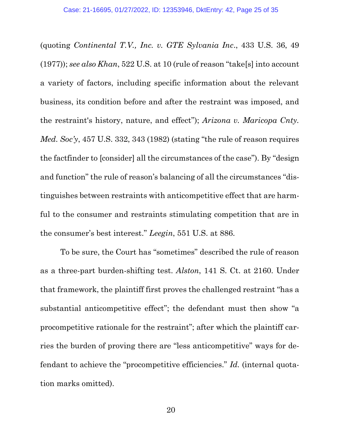(quoting *Continental T.V., Inc. v. GTE Sylvania Inc*., 433 U.S. 36, 49 (1977)); *see also Khan*, 522 U.S. at 10 (rule of reason "take[s] into account a variety of factors, including specific information about the relevant business, its condition before and after the restraint was imposed, and the restraint's history, nature, and effect"); *Arizona v. Maricopa Cnty. Med. Soc'y*, 457 U.S. 332, 343 (1982) (stating "the rule of reason requires the factfinder to [consider] all the circumstances of the case"). By "design and function" the rule of reason's balancing of all the circumstances "distinguishes between restraints with anticompetitive effect that are harmful to the consumer and restraints stimulating competition that are in the consumer's best interest." *Leegin*, 551 U.S. at 886.

To be sure, the Court has "sometimes" described the rule of reason as a three-part burden-shifting test. *Alston*, 141 S. Ct. at 2160. Under that framework, the plaintiff first proves the challenged restraint "has a substantial anticompetitive effect"; the defendant must then show "a procompetitive rationale for the restraint"; after which the plaintiff carries the burden of proving there are "less anticompetitive" ways for defendant to achieve the "procompetitive efficiencies." *Id.* (internal quotation marks omitted).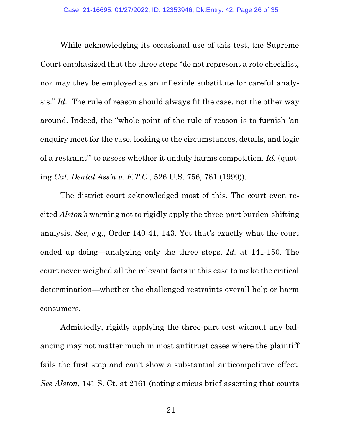While acknowledging its occasional use of this test, the Supreme Court emphasized that the three steps "do not represent a rote checklist, nor may they be employed as an inflexible substitute for careful analysis." *Id.* The rule of reason should always fit the case, not the other way around. Indeed, the "whole point of the rule of reason is to furnish 'an enquiry meet for the case, looking to the circumstances, details, and logic of a restraint'" to assess whether it unduly harms competition. *Id.* (quoting *Cal. Dental Ass'n v. F.T.C.*, 526 U.S. 756, 781 (1999)).

The district court acknowledged most of this. The court even recited *Alston's* warning not to rigidly apply the three-part burden-shifting analysis. *See, e.g.,* Order 140-41, 143. Yet that's exactly what the court ended up doing—analyzing only the three steps. *Id.* at 141-150. The court never weighed all the relevant facts in this case to make the critical determination—whether the challenged restraints overall help or harm consumers.

Admittedly, rigidly applying the three-part test without any balancing may not matter much in most antitrust cases where the plaintiff fails the first step and can't show a substantial anticompetitive effect. *See Alston*, 141 S. Ct. at 2161 (noting amicus brief asserting that courts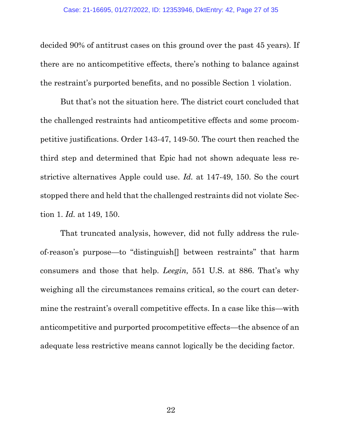decided 90% of antitrust cases on this ground over the past 45 years). If there are no anticompetitive effects, there's nothing to balance against the restraint's purported benefits, and no possible Section 1 violation.

But that's not the situation here. The district court concluded that the challenged restraints had anticompetitive effects and some procompetitive justifications. Order 143-47, 149-50. The court then reached the third step and determined that Epic had not shown adequate less restrictive alternatives Apple could use. *Id.* at 147-49, 150. So the court stopped there and held that the challenged restraints did not violate Section 1. *Id.* at 149, 150.

That truncated analysis, however, did not fully address the ruleof-reason's purpose—to "distinguish[] between restraints" that harm consumers and those that help. *Leegin,* 551 U.S. at 886. That's why weighing all the circumstances remains critical, so the court can determine the restraint's overall competitive effects. In a case like this—with anticompetitive and purported procompetitive effects—the absence of an adequate less restrictive means cannot logically be the deciding factor.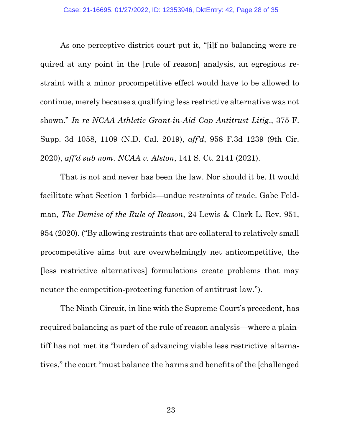As one perceptive district court put it, "[i]f no balancing were required at any point in the [rule of reason] analysis, an egregious restraint with a minor procompetitive effect would have to be allowed to continue, merely because a qualifying less restrictive alternative was not shown." *In re NCAA Athletic Grant-in-Aid Cap Antitrust Litig*., 375 F. Supp. 3d 1058, 1109 (N.D. Cal. 2019), *aff'd*, 958 F.3d 1239 (9th Cir. 2020), *aff'd sub nom*. *NCAA v. Alston*, 141 S. Ct. 2141 (2021).

That is not and never has been the law. Nor should it be. It would facilitate what Section 1 forbids—undue restraints of trade. Gabe Feldman, *The Demise of the Rule of Reason*, 24 Lewis & Clark L. Rev. 951, 954 (2020). ("By allowing restraints that are collateral to relatively small procompetitive aims but are overwhelmingly net anticompetitive, the [less restrictive alternatives] formulations create problems that may neuter the competition-protecting function of antitrust law.").

The Ninth Circuit, in line with the Supreme Court's precedent, has required balancing as part of the rule of reason analysis—where a plaintiff has not met its "burden of advancing viable less restrictive alternatives," the court "must balance the harms and benefits of the [challenged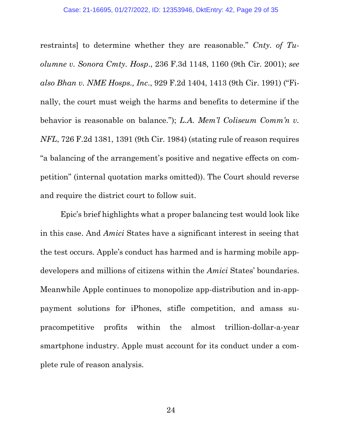restraints] to determine whether they are reasonable." *Cnty. of Tuolumne v. Sonora Cmty. Hosp*., 236 F.3d 1148, 1160 (9th Cir. 2001); *see also Bhan v. NME Hosps., Inc*., 929 F.2d 1404, 1413 (9th Cir. 1991) ("Finally, the court must weigh the harms and benefits to determine if the behavior is reasonable on balance."); *L.A. Mem'l Coliseum Comm'n v. NFL*, 726 F.2d 1381, 1391 (9th Cir. 1984) (stating rule of reason requires "a balancing of the arrangement's positive and negative effects on competition" (internal quotation marks omitted)). The Court should reverse and require the district court to follow suit.

Epic's brief highlights what a proper balancing test would look like in this case. And *Amici* States have a significant interest in seeing that the test occurs. Apple's conduct has harmed and is harming mobile appdevelopers and millions of citizens within the *Amici* States' boundaries. Meanwhile Apple continues to monopolize app-distribution and in-apppayment solutions for iPhones, stifle competition, and amass supracompetitive profits within the almost trillion-dollar-a-year smartphone industry. Apple must account for its conduct under a complete rule of reason analysis.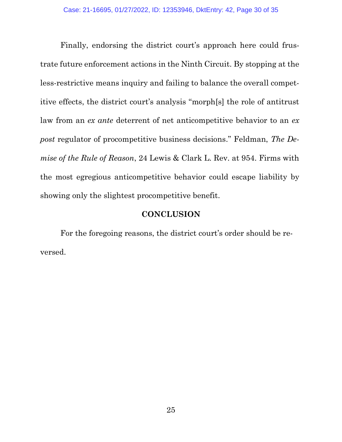Finally, endorsing the district court's approach here could frustrate future enforcement actions in the Ninth Circuit. By stopping at the less-restrictive means inquiry and failing to balance the overall competitive effects, the district court's analysis "morph[s] the role of antitrust law from an *ex ante* deterrent of net anticompetitive behavior to an *ex post* regulator of procompetitive business decisions." Feldman, *The Demise of the Rule of Reason*, 24 Lewis & Clark L. Rev. at 954. Firms with the most egregious anticompetitive behavior could escape liability by showing only the slightest procompetitive benefit.

#### **CONCLUSION**

For the foregoing reasons, the district court's order should be reversed.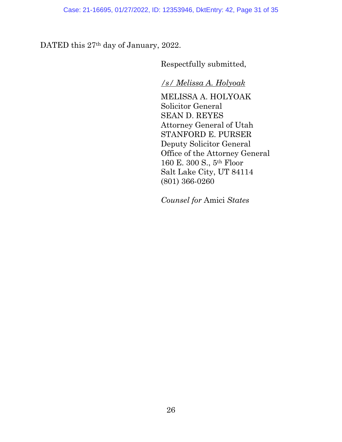DATED this 27<sup>th</sup> day of January, 2022.

Respectfully submitted,

## */s/ Melissa A. Holyoak*

MELISSA A. HOLYOAK Solicitor General SEAN D. REYES Attorney General of Utah STANFORD E. PURSER Deputy Solicitor General Office of the Attorney General 160 E. 300 S., 5th Floor Salt Lake City, UT 84114 (801) 366-0260

*Counsel for* Amici *States*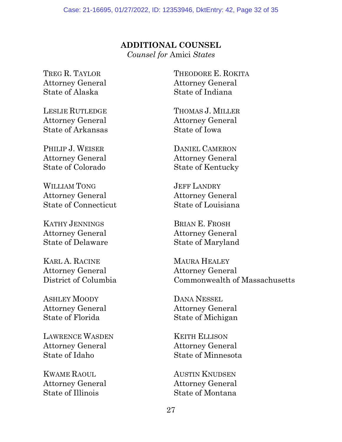Case: 21-16695, 01/27/2022, ID: 12353946, DktEntry: 42, Page 32 of 35

**ADDITIONAL COUNSEL**

*Counsel for* Amici *States*

TREG R. TAYLOR Attorney General State of Alaska

LESLIE RUTLEDGE Attorney General State of Arkansas

PHILIP J. WEISER Attorney General State of Colorado

WILLIAM TONG Attorney General State of Connecticut

KATHY JENNINGS Attorney General State of Delaware

KARL A. RACINE Attorney General District of Columbia

ASHLEY MOODY Attorney General State of Florida

LAWRENCE WASDEN Attorney General State of Idaho

KWAME RAOUL Attorney General State of Illinois

THEODORE E. ROKITA Attorney General State of Indiana

THOMAS J. MILLER Attorney General State of Iowa

DANIEL CAMERON Attorney General State of Kentucky

JEFF LANDRY Attorney General State of Louisiana

BRIAN E. FROSH Attorney General State of Maryland

MAURA HEALEY Attorney General Commonwealth of Massachusetts

DANA NESSEL Attorney General State of Michigan

KEITH ELLISON Attorney General State of Minnesota

AUSTIN KNUDSEN Attorney General State of Montana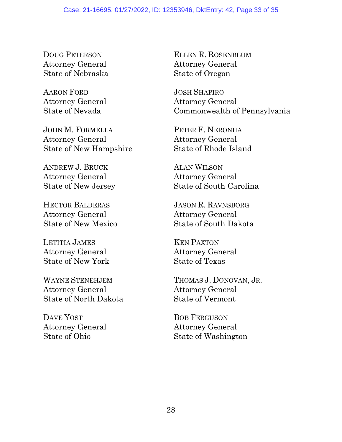DOUG PETERSON Attorney General State of Nebraska

AARON FORD Attorney General State of Nevada

JOHN M. FORMELLA Attorney General State of New Hampshire

ANDREW J. BRUCK Attorney General State of New Jersey

HECTOR BALDERAS Attorney General State of New Mexico

LETITIA JAMES Attorney General State of New York

WAYNE STENEHJEM Attorney General State of North Dakota

DAVE YOST Attorney General State of Ohio

ELLEN R. ROSENBLUM Attorney General State of Oregon

JOSH SHAPIRO Attorney General Commonwealth of Pennsylvania

PETER F. NERONHA Attorney General State of Rhode Island

ALAN WILSON Attorney General State of South Carolina

JASON R. RAVNSBORG Attorney General State of South Dakota

KEN PAXTON Attorney General State of Texas

THOMAS J. DONOVAN, JR. Attorney General State of Vermont

BOB FERGUSON Attorney General State of Washington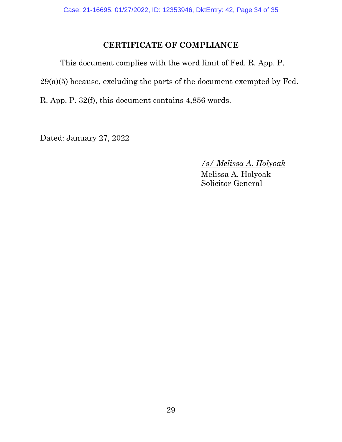## **CERTIFICATE OF COMPLIANCE**

This document complies with the word limit of Fed. R. App. P.

29(a)(5) because, excluding the parts of the document exempted by Fed.

R. App. P. 32(f), this document contains 4,856 words.

Dated: January 27, 2022

*/s/ Melissa A. Holyoak*

Melissa A. Holyoak Solicitor General